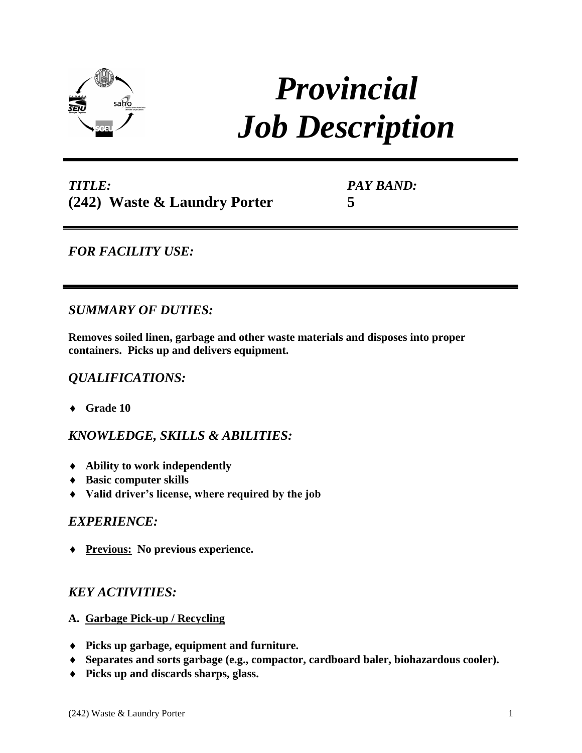

# *Provincial Job Description*

# *TITLE:* **(242) Waste & Laundry Porter**

*PAY BAND:* **5**

## *FOR FACILITY USE:*

## *SUMMARY OF DUTIES:*

**Removes soiled linen, garbage and other waste materials and disposes into proper containers. Picks up and delivers equipment.**

## *QUALIFICATIONS:*

**Grade 10**

*KNOWLEDGE, SKILLS & ABILITIES:*

- **Ability to work independently**
- **Basic computer skills**
- **Valid driver's license, where required by the job**

#### *EXPERIENCE:*

**Previous: No previous experience.** 

## *KEY ACTIVITIES:*

- **A. Garbage Pick-up / Recycling**
- **Picks up garbage, equipment and furniture.**
- **Separates and sorts garbage (e.g., compactor, cardboard baler, biohazardous cooler).**
- **Picks up and discards sharps, glass.**